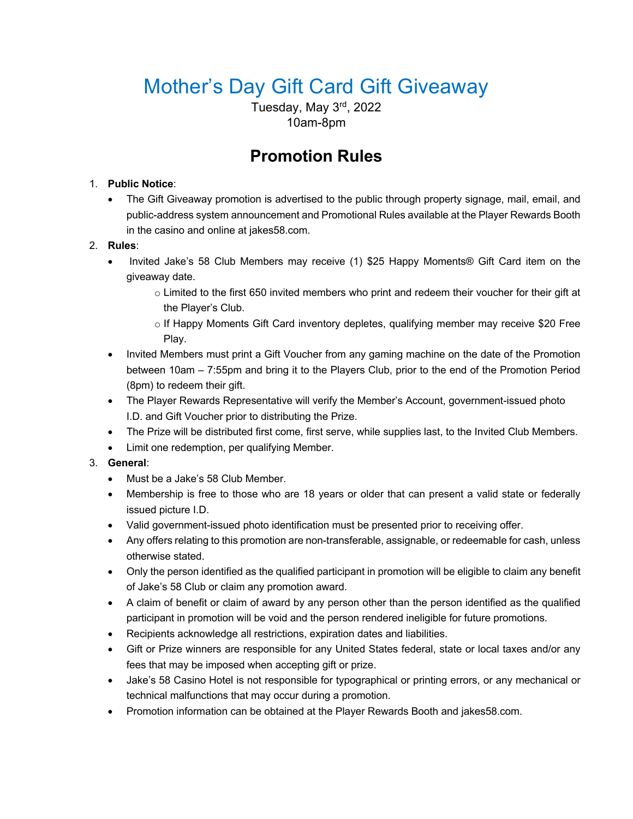# Mother's Day Gift Card Gift Giveaway

Tuesday, May 3rd, 2022 10am-8pm

# **Promotion Rules**

# 1. **Public Notice**:

The Gift Giveaway promotion is advertised to the public through property signage, mail, email, and public-address system announcement and Promotional Rules available at the Player Rewards Booth in the casino and online at jakes58.com.

# 2. **Rules**:

- Invited Jake's 58 Club Members may receive (1) \$25 Happy Moments® Gift Card item on the giveaway date.
	- $\circ$  Limited to the first 650 invited members who print and redeem their voucher for their gift at the Player's Club.
	- o If Happy Moments Gift Card inventory depletes, qualifying member may receive \$20 Free Play.
- Invited Members must print a Gift Voucher from any gaming machine on the date of the Promotion between 10am – 7:55pm and bring it to the Players Club, prior to the end of the Promotion Period (8pm) to redeem their gift.
- The Player Rewards Representative will verify the Member's Account, government-issued photo I.D. and Gift Voucher prior to distributing the Prize.
- The Prize will be distributed first come, first serve, while supplies last, to the Invited Club Members.
- Limit one redemption, per qualifying Member.

# 3. **General**:

- Must be a Jake's 58 Club Member.
- Membership is free to those who are 18 years or older that can present a valid state or federally issued picture I.D.
- Valid government-issued photo identification must be presented prior to receiving offer.
- Any offers relating to this promotion are non-transferable, assignable, or redeemable for cash, unless otherwise stated.
- Only the person identified as the qualified participant in promotion will be eligible to claim any benefit of Jake's 58 Club or claim any promotion award.
- A claim of benefit or claim of award by any person other than the person identified as the qualified participant in promotion will be void and the person rendered ineligible for future promotions.
- Recipients acknowledge all restrictions, expiration dates and liabilities.
- Gift or Prize winners are responsible for any United States federal, state or local taxes and/or any fees that may be imposed when accepting gift or prize.
- Jake's 58 Casino Hotel is not responsible for typographical or printing errors, or any mechanical or technical malfunctions that may occur during a promotion.
- Promotion information can be obtained at the Player Rewards Booth and jakes58.com.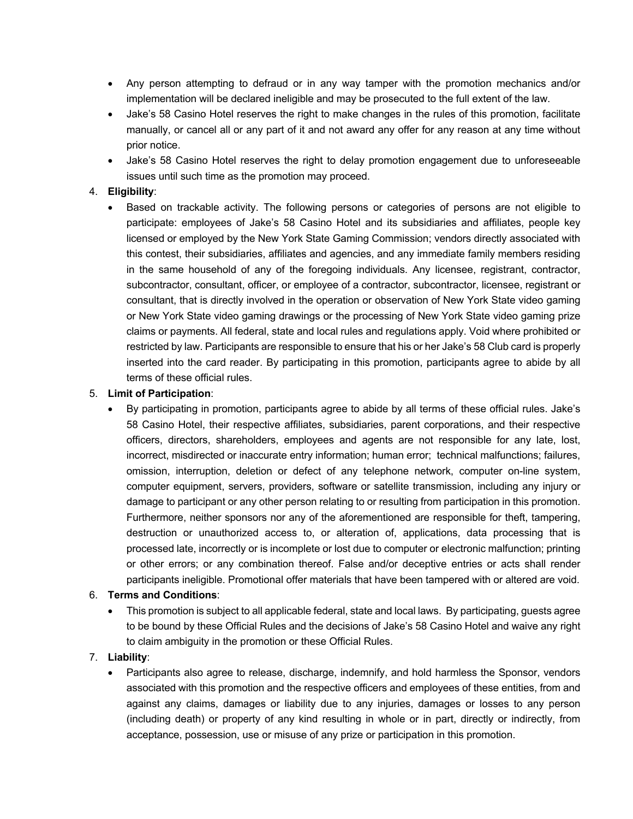- Any person attempting to defraud or in any way tamper with the promotion mechanics and/or implementation will be declared ineligible and may be prosecuted to the full extent of the law.
- Jake's 58 Casino Hotel reserves the right to make changes in the rules of this promotion, facilitate manually, or cancel all or any part of it and not award any offer for any reason at any time without prior notice.
- Jake's 58 Casino Hotel reserves the right to delay promotion engagement due to unforeseeable issues until such time as the promotion may proceed.

#### 4. **Eligibility**:

• Based on trackable activity. The following persons or categories of persons are not eligible to participate: employees of Jake's 58 Casino Hotel and its subsidiaries and affiliates, people key licensed or employed by the New York State Gaming Commission; vendors directly associated with this contest, their subsidiaries, affiliates and agencies, and any immediate family members residing in the same household of any of the foregoing individuals. Any licensee, registrant, contractor, subcontractor, consultant, officer, or employee of a contractor, subcontractor, licensee, registrant or consultant, that is directly involved in the operation or observation of New York State video gaming or New York State video gaming drawings or the processing of New York State video gaming prize claims or payments. All federal, state and local rules and regulations apply. Void where prohibited or restricted by law. Participants are responsible to ensure that his or her Jake's 58 Club card is properly inserted into the card reader. By participating in this promotion, participants agree to abide by all terms of these official rules.

#### 5. **Limit of Participation**:

• By participating in promotion, participants agree to abide by all terms of these official rules. Jake's 58 Casino Hotel, their respective affiliates, subsidiaries, parent corporations, and their respective officers, directors, shareholders, employees and agents are not responsible for any late, lost, incorrect, misdirected or inaccurate entry information; human error; technical malfunctions; failures, omission, interruption, deletion or defect of any telephone network, computer on-line system, computer equipment, servers, providers, software or satellite transmission, including any injury or damage to participant or any other person relating to or resulting from participation in this promotion. Furthermore, neither sponsors nor any of the aforementioned are responsible for theft, tampering, destruction or unauthorized access to, or alteration of, applications, data processing that is processed late, incorrectly or is incomplete or lost due to computer or electronic malfunction; printing or other errors; or any combination thereof. False and/or deceptive entries or acts shall render participants ineligible. Promotional offer materials that have been tampered with or altered are void.

#### 6. **Terms and Conditions**:

• This promotion is subject to all applicable federal, state and local laws. By participating, guests agree to be bound by these Official Rules and the decisions of Jake's 58 Casino Hotel and waive any right to claim ambiguity in the promotion or these Official Rules.

## 7. **Liability**:

• Participants also agree to release, discharge, indemnify, and hold harmless the Sponsor, vendors associated with this promotion and the respective officers and employees of these entities, from and against any claims, damages or liability due to any injuries, damages or losses to any person (including death) or property of any kind resulting in whole or in part, directly or indirectly, from acceptance, possession, use or misuse of any prize or participation in this promotion.